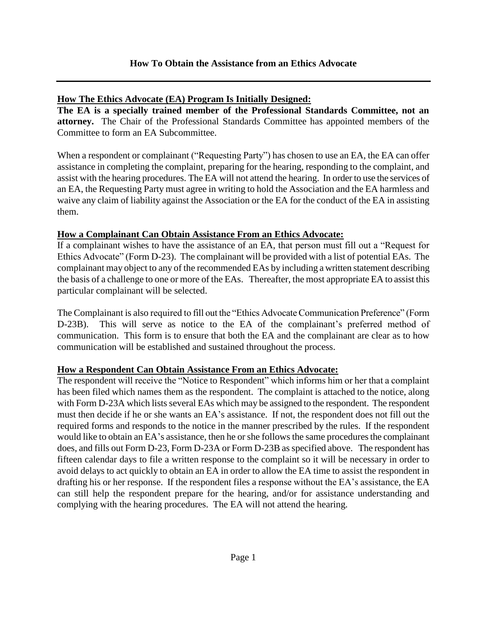### **How The Ethics Advocate (EA) Program Is Initially Designed:**

**The EA is a specially trained member of the Professional Standards Committee, not an attorney.** The Chair of the Professional Standards Committee has appointed members of the Committee to form an EA Subcommittee.

When a respondent or complainant ("Requesting Party") has chosen to use an EA, the EA can offer assistance in completing the complaint, preparing for the hearing, responding to the complaint, and assist with the hearing procedures. The EA will not attend the hearing. In order to use the services of an EA, the Requesting Party must agree in writing to hold the Association and the EA harmless and waive any claim of liability against the Association or the EA for the conduct of the EA in assisting them.

### **How a Complainant Can Obtain Assistance From an Ethics Advocate:**

If a complainant wishes to have the assistance of an EA, that person must fill out a "Request for Ethics Advocate" (Form D-23). The complainant will be provided with a list of potential EAs. The complainant may object to any of the recommended EAs by including a written statement describing the basis of a challenge to one or more of the EAs. Thereafter, the most appropriate EA to assist this particular complainant will be selected.

The Complainant is also required to fill out the "Ethics Advocate Communication Preference" (Form D-23B). This will serve as notice to the EA of the complainant's preferred method of communication. This form is to ensure that both the EA and the complainant are clear as to how communication will be established and sustained throughout the process.

## **How a Respondent Can Obtain Assistance From an Ethics Advocate:**

The respondent will receive the "Notice to Respondent" which informs him or her that a complaint has been filed which names them as the respondent. The complaint is attached to the notice, along with Form D-23A which lists several EAs which may be assigned to the respondent. The respondent must then decide if he or she wants an EA's assistance. If not, the respondent does not fill out the required forms and responds to the notice in the manner prescribed by the rules. If the respondent would like to obtain an EA's assistance, then he or she follows the same procedures the complainant does, and fills out Form D-23, Form D-23A or Form D-23B as specified above. The respondent has fifteen calendar days to file a written response to the complaint so it will be necessary in order to avoid delays to act quickly to obtain an EA in order to allow the EA time to assist the respondent in drafting his or her response. If the respondent files a response without the EA's assistance, the EA can still help the respondent prepare for the hearing, and/or for assistance understanding and complying with the hearing procedures. The EA will not attend the hearing.